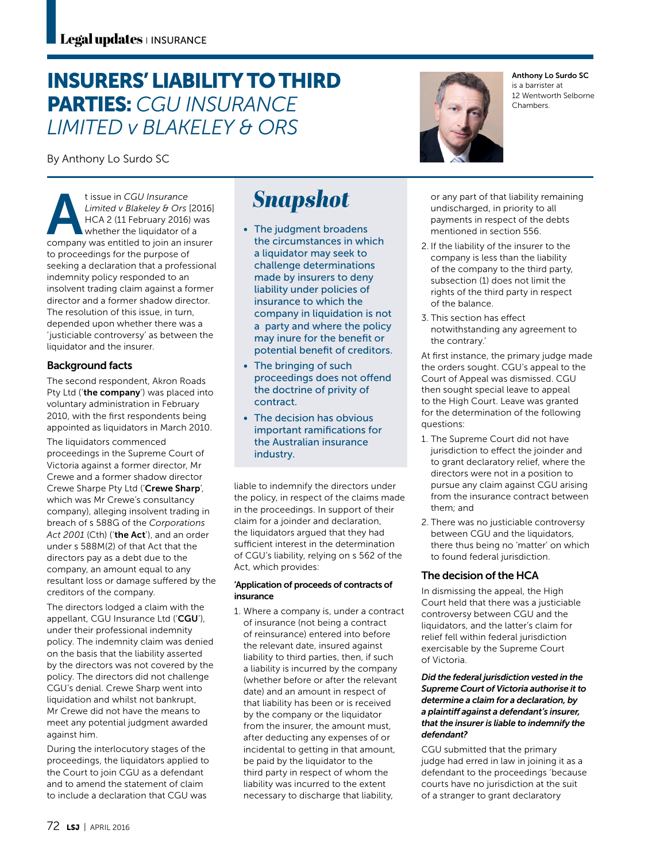## INSURERS' LIABILITY TO THIRD PARTIES: *CGU INSURANCE LIMITED v BLAKELEY & ORS*

By Anthony Lo Surdo SC

t issue in *CGU Insurance*<br>
Limited v Blakeley & Ors<br>
HCA 2 (11 February 2016)<br>
whether the liquidator of<br>
company was entitled to join an in *Limited v Blakeley & Ors* [2016] HCA 2 (11 February 2016) was whether the liquidator of a company was entitled to join an insurer to proceedings for the purpose of seeking a declaration that a professional indemnity policy responded to an insolvent trading claim against a former director and a former shadow director. The resolution of this issue, in turn, depended upon whether there was a 'justiciable controversy' as between the liquidator and the insurer.

## Background facts

The second respondent, Akron Roads Pty Ltd ('the company') was placed into voluntary administration in February 2010, with the first respondents being appointed as liquidators in March 2010.

The liquidators commenced proceedings in the Supreme Court of Victoria against a former director, Mr Crewe and a former shadow director Crewe Sharpe Pty Ltd ('Crewe Sharp', which was Mr Crewe's consultancy company), alleging insolvent trading in breach of s 588G of the *Corporations Act 2001* (Cth) ('the Act'), and an order under s 588M(2) of that Act that the directors pay as a debt due to the company, an amount equal to any resultant loss or damage suffered by the creditors of the company.

The directors lodged a claim with the appellant, CGU Insurance Ltd ('CGU'), under their professional indemnity policy. The indemnity claim was denied on the basis that the liability asserted by the directors was not covered by the policy. The directors did not challenge CGU's denial. Crewe Sharp went into liquidation and whilst not bankrupt, Mr Crewe did not have the means to meet any potential judgment awarded against him.

During the interlocutory stages of the proceedings, the liquidators applied to the Court to join CGU as a defendant and to amend the statement of claim to include a declaration that CGU was

# **Snapshot**

- The judgment broadens the circumstances in which a liquidator may seek to challenge determinations made by insurers to deny liability under policies of insurance to which the company in liquidation is not a party and where the policy may inure for the benefit or potential benefit of creditors.
- The bringing of such proceedings does not offend the doctrine of privity of contract.
- The decision has obvious important ramifications for the Australian insurance industry.

liable to indemnify the directors under the policy, in respect of the claims made in the proceedings. In support of their claim for a joinder and declaration, the liquidators argued that they had sufficient interest in the determination of CGU's liability, relying on s 562 of the Act, which provides:

### 'Application of proceeds of contracts of insurance

1. Where a company is, under a contract of insurance (not being a contract of reinsurance) entered into before the relevant date, insured against liability to third parties, then, if such a liability is incurred by the company (whether before or after the relevant date) and an amount in respect of that liability has been or is received by the company or the liquidator from the insurer, the amount must, after deducting any expenses of or incidental to getting in that amount, be paid by the liquidator to the third party in respect of whom the liability was incurred to the extent necessary to discharge that liability,



Anthony Lo Surdo SC is a barrister at 12 Wentworth Selborne Chambers.

or any part of that liability remaining undischarged, in priority to all payments in respect of the debts mentioned in section 556.

- 2. If the liability of the insurer to the company is less than the liability of the company to the third party, subsection (1) does not limit the rights of the third party in respect of the balance.
- 3. This section has effect notwithstanding any agreement to the contrary.'

At first instance, the primary judge made the orders sought. CGU's appeal to the Court of Appeal was dismissed. CGU then sought special leave to appeal to the High Court. Leave was granted for the determination of the following questions:

- 1. The Supreme Court did not have jurisdiction to effect the joinder and to grant declaratory relief, where the directors were not in a position to pursue any claim against CGU arising from the insurance contract between them; and
- 2. There was no justiciable controversy between CGU and the liquidators, there thus being no 'matter' on which to found federal jurisdiction.

## The decision of the HCA

In dismissing the appeal, the High Court held that there was a justiciable controversy between CGU and the liquidators, and the latter's claim for relief fell within federal jurisdiction exercisable by the Supreme Court of Victoria.

#### *Did the federal jurisdiction vested in the Supreme Court of Victoria authorise it to determine a claim for a declaration, by a plaintiff against a defendant's insurer, that the insurer is liable to indemnify the defendant?*

CGU submitted that the primary judge had erred in law in joining it as a defendant to the proceedings 'because courts have no jurisdiction at the suit of a stranger to grant declaratory